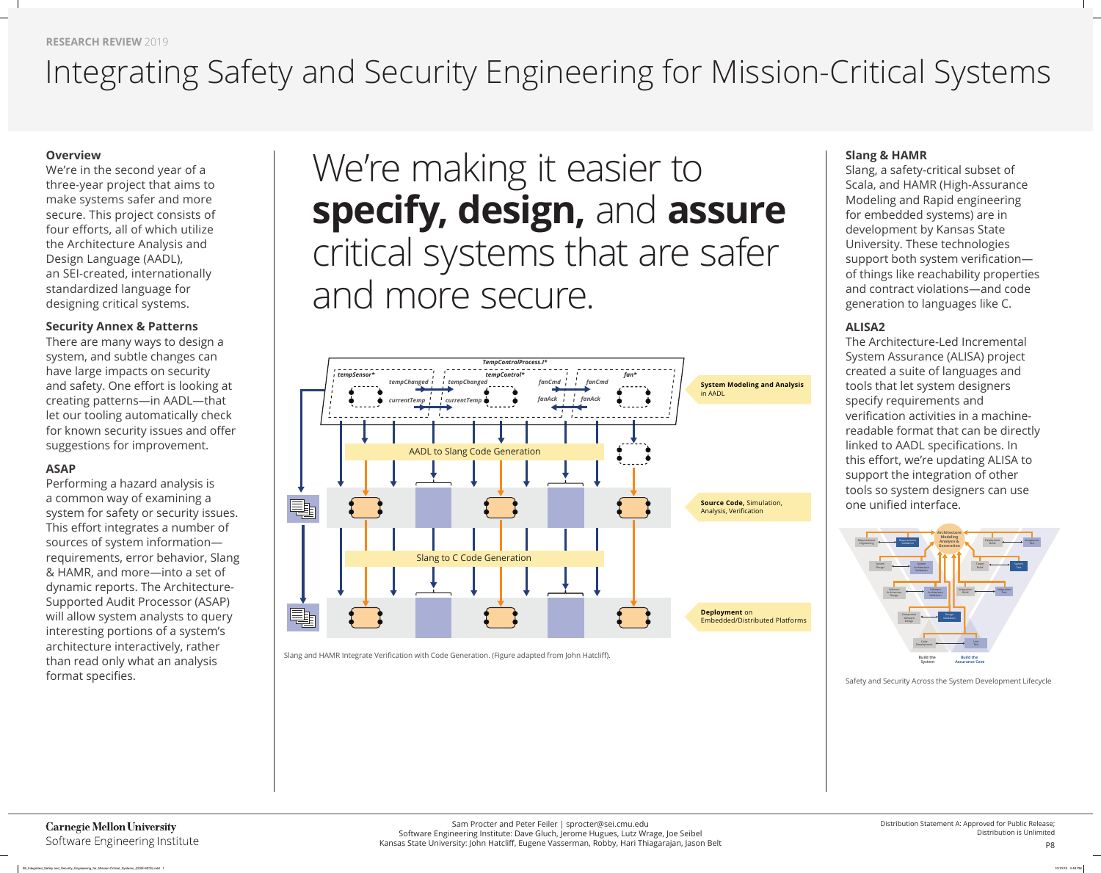#### **Overview**

We're in the second year of a three-year project that aims to make systems safer and more secure. This project consists of four efforts, all of which utilize the Architecture Analysis and Design Language (AADL), an SEI-created, internationally standardized language for designing critical systems.

Performing a hazard analysis is a common way of examining a system for safety or security issues. This effort integrates a number of sources of system information requirements, error behavior, Slang & HAMR, and more—into a set of dynamic reports. The Architecture-Supported Audit Processor (ASAP) will allow system analysts to query interesting portions of a system's architecture interactively, rather than read only what an analysis format specifies.

#### **Security Annex & Patterns**

There are many ways to design a system, and subtle changes can have large impacts on security and safety. One effort is looking at creating patterns—in AADL—that let our tooling automatically check for known security issues and offer suggestions for improvement.

#### **ASAP**

The Architecture-Led Incremental System Assurance (ALISA) project created a suite of languages and tools that let system designers specify requirements and verification activities in a machinereadable format that can be directly linked to AADL specifications. In this effort, we're updating ALISA to support the integration of other tools so system designers can use one unified interface.

## **Slang & HAMR**

Slang, a safety-critical subset of Scala, and HAMR (High-Assurance Modeling and Rapid engineering for embedded systems) are in development by Kansas State University. These technologies support both system verificationof things like reachability properties and contract violations—and code generation to languages like C.

### **ALISA2**

# We're making it easier to **specify, design,** and **assure** critical systems that are safer and more secure.





## Integrating Safety and Security Engineering for Mission-Critical Systems



Slang and HAMR Integrate Verification with Code Generation. (Figure adapted from John Hatcliff).

**Carnegie Mellon University** Software Engineering Institute Safety and Security Across the System Development Lifecycle